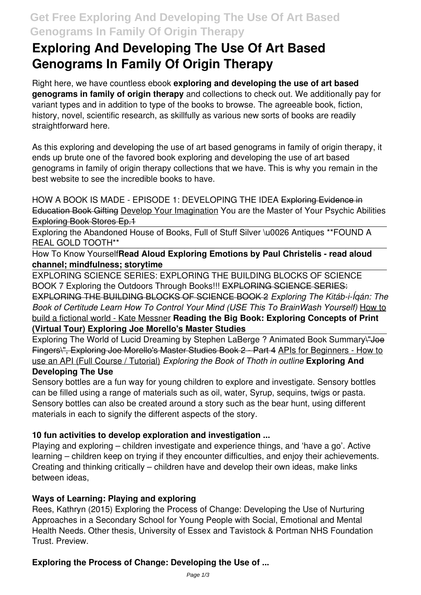# **Get Free Exploring And Developing The Use Of Art Based Genograms In Family Of Origin Therapy**

# **Exploring And Developing The Use Of Art Based Genograms In Family Of Origin Therapy**

Right here, we have countless ebook **exploring and developing the use of art based genograms in family of origin therapy** and collections to check out. We additionally pay for variant types and in addition to type of the books to browse. The agreeable book, fiction, history, novel, scientific research, as skillfully as various new sorts of books are readily straightforward here.

As this exploring and developing the use of art based genograms in family of origin therapy, it ends up brute one of the favored book exploring and developing the use of art based genograms in family of origin therapy collections that we have. This is why you remain in the best website to see the incredible books to have.

HOW A BOOK IS MADE - EPISODE 1: DEVELOPING THE IDEA Exploring Evidence in Education Book Gifting Develop Your Imagination You are the Master of Your Psychic Abilities Exploring Book Stores Ep.1

Exploring the Abandoned House of Books, Full of Stuff Silver \u0026 Antiques \*\*FOUND A REAL GOLD TOOTH\*\*

How To Know Yourself**Read Aloud Exploring Emotions by Paul Christelis - read aloud channel; mindfulness; storytime**

EXPLORING SCIENCE SERIES: EXPLORING THE BUILDING BLOCKS OF SCIENCE BOOK 7 Exploring the Outdoors Through Books!!! EXPLORING SCIENCE SERIES: EXPLORING THE BUILDING BLOCKS OF SCIENCE BOOK 2 *Exploring The Kitáb-i-Íqán: The Book of Certitude Learn How To Control Your Mind (USE This To BrainWash Yourself)* How to build a fictional world - Kate Messner **Reading the Big Book: Exploring Concepts of Print (Virtual Tour) Exploring Joe Morello's Master Studies**

Exploring The World of Lucid Dreaming by Stephen LaBerge ? Animated Book Summary + Joe Fingers\", Exploring Joe Morello's Master Studies Book 2 - Part 4 APIs for Beginners - How to use an API (Full Course / Tutorial) *Exploring the Book of Thoth in outline* **Exploring And Developing The Use**

### Sensory bottles are a fun way for young children to explore and investigate. Sensory bottles can be filled using a range of materials such as oil, water, Syrup, sequins, twigs or pasta. Sensory bottles can also be created around a story such as the bear hunt, using different materials in each to signify the different aspects of the story.

# **10 fun activities to develop exploration and investigation ...**

Playing and exploring – children investigate and experience things, and 'have a go'. Active learning – children keep on trying if they encounter difficulties, and enjoy their achievements. Creating and thinking critically – children have and develop their own ideas, make links between ideas,

# **Ways of Learning: Playing and exploring**

Rees, Kathryn (2015) Exploring the Process of Change: Developing the Use of Nurturing Approaches in a Secondary School for Young People with Social, Emotional and Mental Health Needs. Other thesis, University of Essex and Tavistock & Portman NHS Foundation Trust. Preview.

# **Exploring the Process of Change: Developing the Use of ...**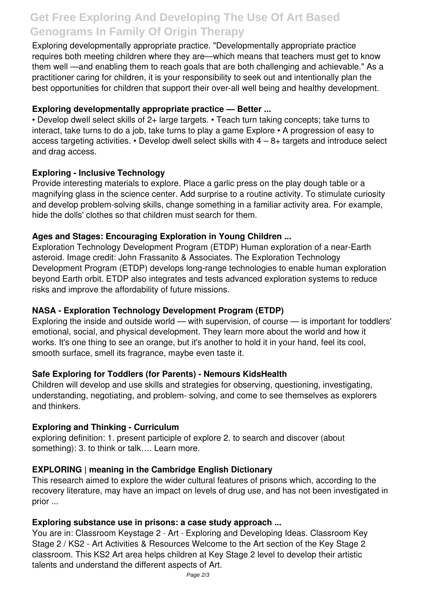# **Get Free Exploring And Developing The Use Of Art Based Genograms In Family Of Origin Therapy**

Exploring developmentally appropriate practice. "Developmentally appropriate practice requires both meeting children where they are—which means that teachers must get to know them well —and enabling them to reach goals that are both challenging and achievable." As a practitioner caring for children, it is your responsibility to seek out and intentionally plan the best opportunities for children that support their over-all well being and healthy development.

# **Exploring developmentally appropriate practice — Better ...**

• Develop dwell select skills of 2+ large targets. • Teach turn taking concepts; take turns to interact, take turns to do a job, take turns to play a game Explore • A progression of easy to access targeting activities.  $\cdot$  Develop dwell select skills with  $4 - 8 +$  targets and introduce select and drag access.

#### **Exploring - Inclusive Technology**

Provide interesting materials to explore. Place a garlic press on the play dough table or a magnifying glass in the science center. Add surprise to a routine activity. To stimulate curiosity and develop problem-solving skills, change something in a familiar activity area. For example, hide the dolls' clothes so that children must search for them.

### **Ages and Stages: Encouraging Exploration in Young Children ...**

Exploration Technology Development Program (ETDP) Human exploration of a near-Earth asteroid. Image credit: John Frassanito & Associates. The Exploration Technology Development Program (ETDP) develops long-range technologies to enable human exploration beyond Earth orbit. ETDP also integrates and tests advanced exploration systems to reduce risks and improve the affordability of future missions.

# **NASA - Exploration Technology Development Program (ETDP)**

Exploring the inside and outside world — with supervision, of course — is important for toddlers' emotional, social, and physical development. They learn more about the world and how it works. It's one thing to see an orange, but it's another to hold it in your hand, feel its cool, smooth surface, smell its fragrance, maybe even taste it.

# **Safe Exploring for Toddlers (for Parents) - Nemours KidsHealth**

Children will develop and use skills and strategies for observing, questioning, investigating, understanding, negotiating, and problem- solving, and come to see themselves as explorers and thinkers.

#### **Exploring and Thinking - Curriculum**

exploring definition: 1. present participle of explore 2. to search and discover (about something): 3. to think or talk…. Learn more.

#### **EXPLORING | meaning in the Cambridge English Dictionary**

This research aimed to explore the wider cultural features of prisons which, according to the recovery literature, may have an impact on levels of drug use, and has not been investigated in prior ...

#### **Exploring substance use in prisons: a case study approach ...**

You are in: Classroom Keystage 2 · Art · Exploring and Developing Ideas. Classroom Key Stage 2 / KS2 - Art Activities & Resources Welcome to the Art section of the Key Stage 2 classroom. This KS2 Art area helps children at Key Stage 2 level to develop their artistic talents and understand the different aspects of Art.